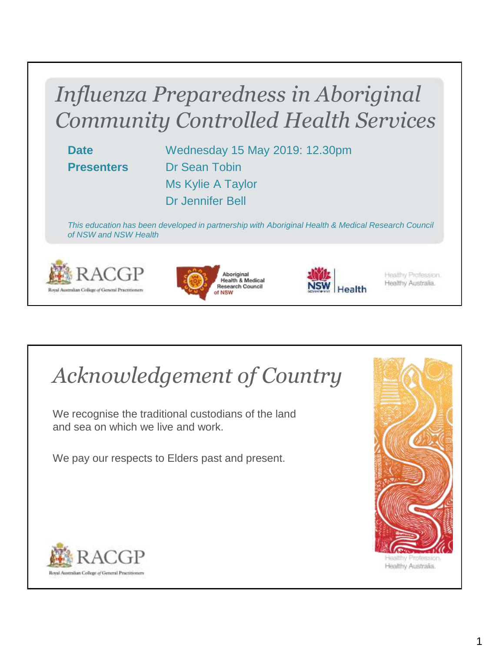#### *Influenza Preparedness in Aboriginal Community Controlled Health Services*

**Date** Wednesday 15 May 2019: 12.30pm **Presenters** Dr Sean Tobin Ms Kylie A Taylor Dr Jennifer Bell

*This education has been developed in partnership with Aboriginal Health & Medical Research Council of NSW and NSW Health*







Healthy Profession. Healthy Australia.

### *Acknowledgement of Country*

We recognise the traditional custodians of the land and sea on which we live and work.

We pay our respects to Elders past and present.



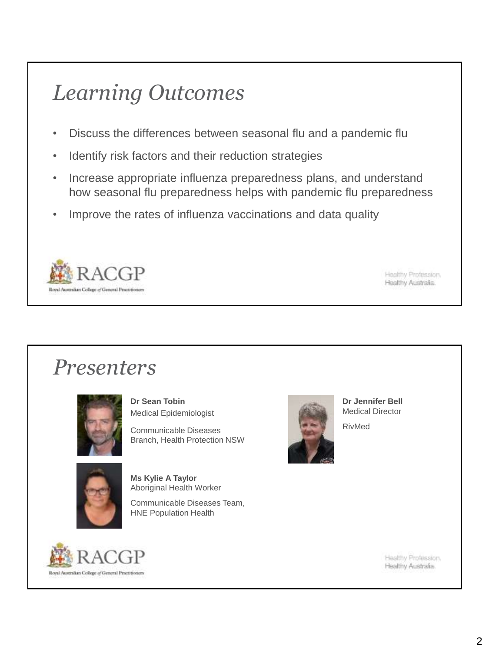#### *Learning Outcomes*

- Discuss the differences between seasonal flu and a pandemic flu
- Identify risk factors and their reduction strategies
- Increase appropriate influenza preparedness plans, and understand how seasonal flu preparedness helps with pandemic flu preparedness
- Improve the rates of influenza vaccinations and data quality



Healthy Profession. Healthy Australia.

#### *Presenters*



**Dr Sean Tobin** Medical Epidemiologist

Communicable Diseases Branch, Health Protection NSW



**Ms Kylie A Taylor** Aboriginal Health Worker

Communicable Diseases Team, HNE Population Health



**Dr Jennifer Bell** Medical Director RivMed

Royal Australian College of General Practitionen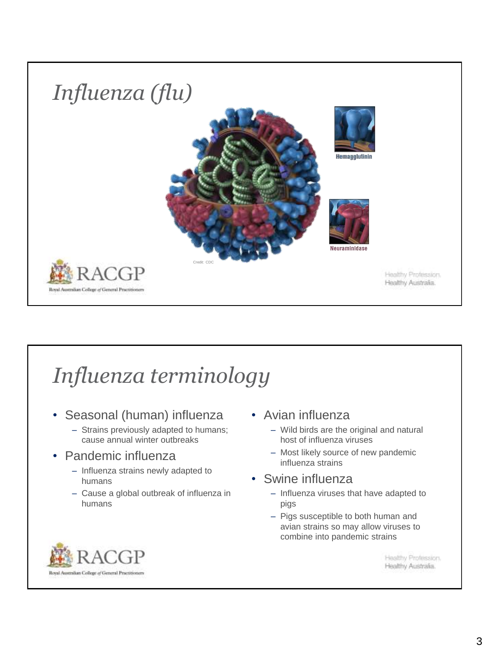

## *Influenza terminology*

- Seasonal (human) influenza
	- Strains previously adapted to humans; cause annual winter outbreaks
- Pandemic influenza
	- Influenza strains newly adapted to humans
	- Cause a global outbreak of influenza in humans
- Avian influenza
	- Wild birds are the original and natural host of influenza viruses
	- Most likely source of new pandemic influenza strains
- Swine influenza
	- Influenza viruses that have adapted to pigs
	- Pigs susceptible to both human and avian strains so may allow viruses to combine into pandemic strains

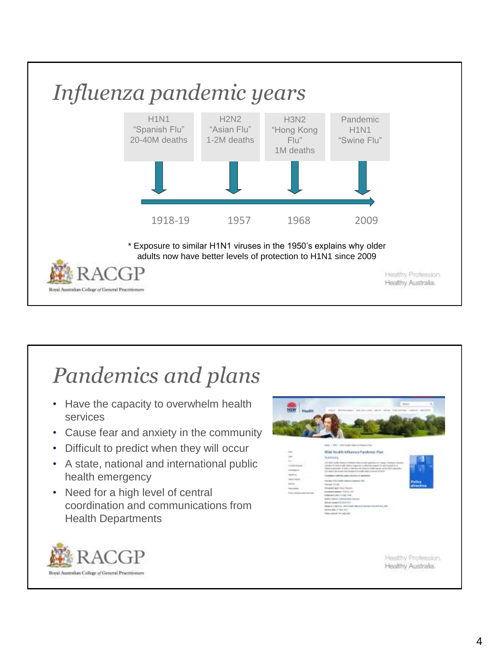

#### *Pandemics and plans*

- Have the capacity to overwhelm health services
- Cause fear and anxiety in the community
- Difficult to predict when they will occur
- A state, national and international public health emergency
- Need for a high level of central coordination and communications from Health Departments



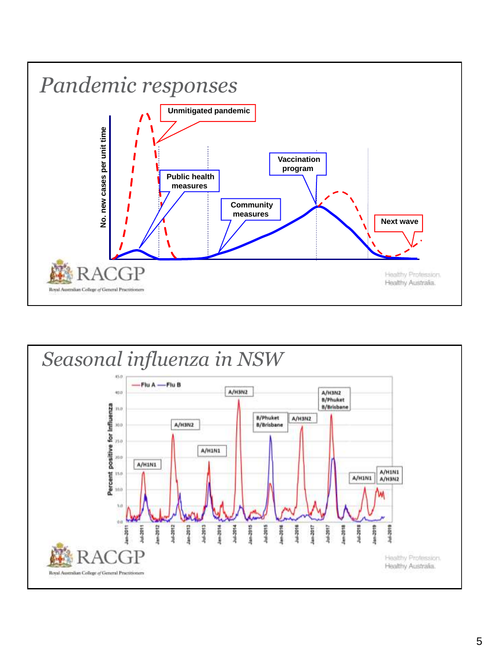

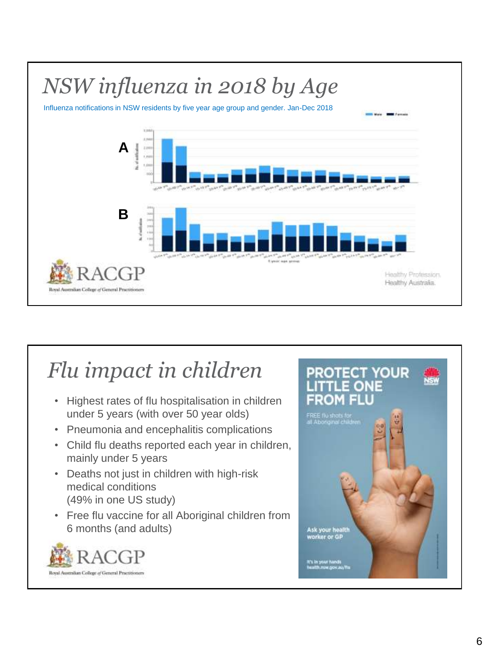

#### *Flu impact in children*

- Highest rates of flu hospitalisation in children under 5 years (with over 50 year olds)
- Pneumonia and encephalitis complications
- Child flu deaths reported each year in children, mainly under 5 years
- Deaths not just in children with high-risk medical conditions (49% in one US study)
- Free flu vaccine for all Aboriginal children from 6 months (and adults)



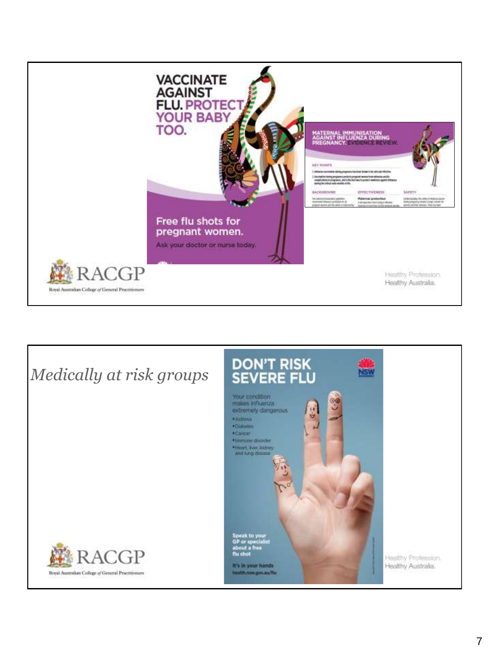

![](_page_6_Picture_1.jpeg)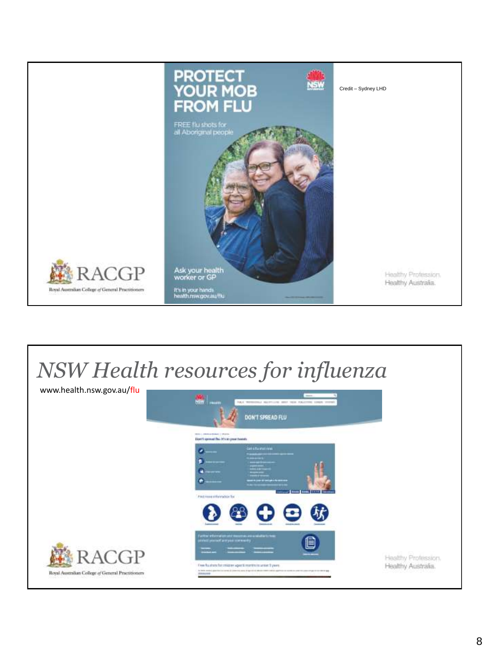![](_page_7_Picture_0.jpeg)

#### *NSW Health resources for influenza*

![](_page_7_Picture_2.jpeg)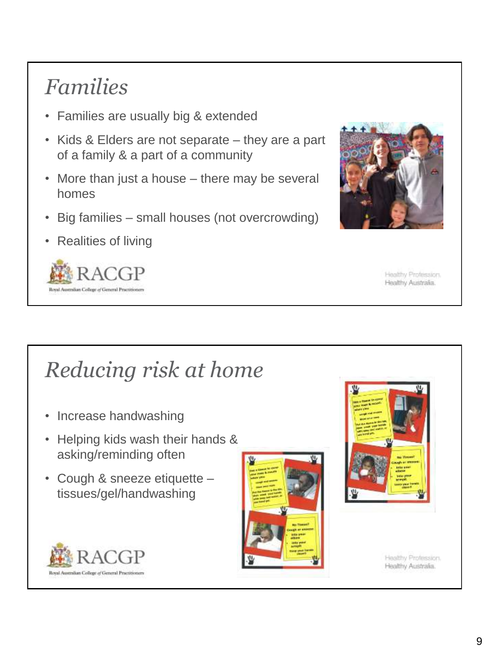### *Families*

- Families are usually big & extended
- Kids & Elders are not separate they are a part of a family & a part of a community
- More than just a house there may be several homes
- Big families small houses (not overcrowding)
- Realities of living

![](_page_8_Picture_6.jpeg)

![](_page_8_Picture_7.jpeg)

Healthy Profession. Healthy Australia.

### *Reducing risk at home*

- Increase handwashing
- Helping kids wash their hands & asking/reminding often
- Cough & sneeze etiquette tissues/gel/handwashing

![](_page_8_Picture_13.jpeg)

![](_page_8_Picture_14.jpeg)

![](_page_8_Picture_15.jpeg)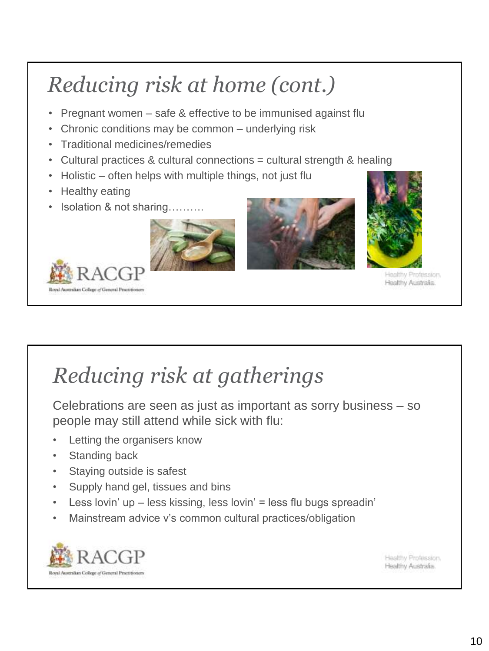# *Reducing risk at home (cont.)*

- Pregnant women safe & effective to be immunised against flu
- Chronic conditions may be common underlying risk
- Traditional medicines/remedies
- Cultural practices & cultural connections = cultural strength & healing
- Holistic often helps with multiple things, not just flu
- Healthy eating

Royal Australian College of General Practition

• Isolation & not sharing……….

![](_page_9_Picture_8.jpeg)

![](_page_9_Picture_9.jpeg)

![](_page_9_Picture_10.jpeg)

Healthy Profession. Healthy Australia.

### *Reducing risk at gatherings*

Celebrations are seen as just as important as sorry business – so people may still attend while sick with flu:

- Letting the organisers know
- **Standing back**
- Staying outside is safest
- Supply hand gel, tissues and bins
- Less lovin' up less kissing, less lovin' = less flu bugs spreadin'
- Mainstream advice v's common cultural practices/obligation

![](_page_9_Picture_20.jpeg)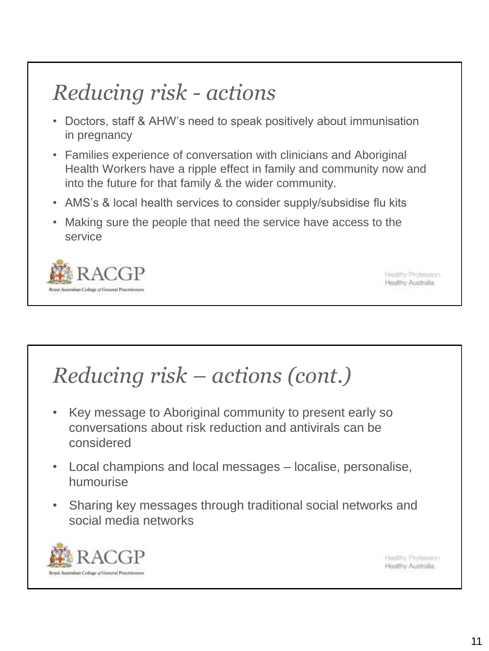## *Reducing risk - actions*

- Doctors, staff & AHW's need to speak positively about immunisation in pregnancy
- Families experience of conversation with clinicians and Aboriginal Health Workers have a ripple effect in family and community now and into the future for that family & the wider community.
- AMS's & local health services to consider supply/subsidise flu kits
- Making sure the people that need the service have access to the service

![](_page_10_Picture_5.jpeg)

Healthy Profession. Healthy Australia.

### *Reducing risk – actions (cont.)*

- Key message to Aboriginal community to present early so conversations about risk reduction and antivirals can be considered
- Local champions and local messages localise, personalise, humourise
- Sharing key messages through traditional social networks and social media networks

![](_page_10_Picture_11.jpeg)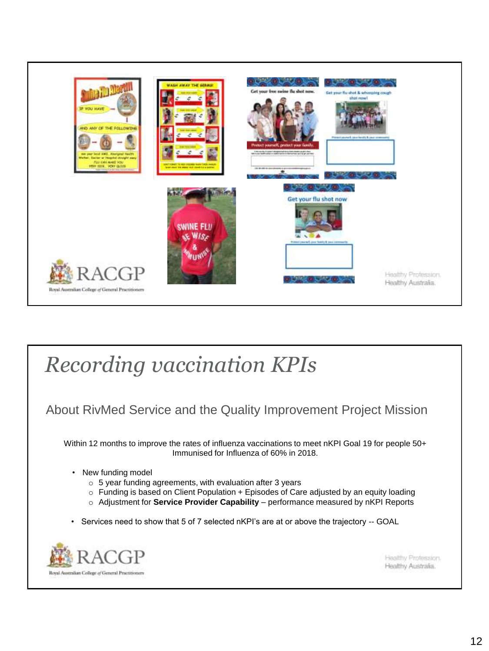![](_page_11_Picture_0.jpeg)

#### *Recording vaccination KPIs*

#### About RivMed Service and the Quality Improvement Project Mission

Within 12 months to improve the rates of influenza vaccinations to meet nKPI Goal 19 for people 50+ Immunised for Influenza of 60% in 2018.

- New funding model
	- $\circ$  5 year funding agreements, with evaluation after 3 years
	- $\circ$  Funding is based on Client Population + Episodes of Care adjusted by an equity loading
	- o Adjustment for **Service Provider Capability**  performance measured by nKPI Reports
- Services need to show that 5 of 7 selected nKPI's are at or above the trajectory -- GOAL

![](_page_11_Picture_9.jpeg)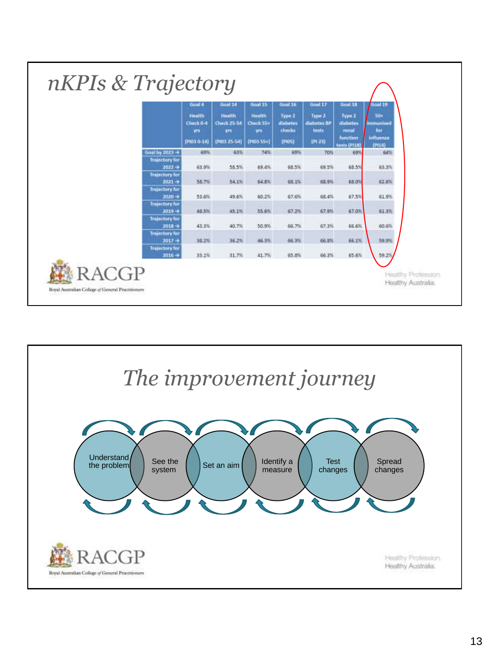|                                     | Goal 4<br><b>Health</b><br>Check 0-4<br><b>VIS</b><br>(PID3 0-14) | Gool 14<br><b>Health</b><br><b>Check 25-54</b><br>yrs.<br>(P03.25-54) | Goal 15<br><b>Health</b><br>Check 55+<br>yrs.<br>(PI03-55+) | Goal 16<br>Type 2<br>diabetes<br>checks<br>(PIOS) | Goal 17<br>Type 2<br>diabetes BP<br>tests<br>(191, 23) | Goal 18<br>Type 2<br>disbetes<br>renal<br>function<br><b>Emsts (PIIB)</b> | <b>Goal 19</b><br>50+<br>mmunised<br>for |
|-------------------------------------|-------------------------------------------------------------------|-----------------------------------------------------------------------|-------------------------------------------------------------|---------------------------------------------------|--------------------------------------------------------|---------------------------------------------------------------------------|------------------------------------------|
|                                     |                                                                   |                                                                       |                                                             |                                                   |                                                        |                                                                           | influenza<br>(P(14)                      |
| Goal by 2023 ->                     | 69%                                                               | 63%                                                                   | 74%                                                         | 69%                                               | 70%                                                    | 69%                                                                       | S4%                                      |
| <b>Trajectory for</b><br>$2022 -$   | 53.9%                                                             | 58.5%                                                                 | 59.4%                                                       | 68.5%                                             | 69.5%                                                  | 68.5%                                                                     | 63.3%                                    |
| <b>Trajectory for</b><br>$2021 +$   | <b>58.7%</b>                                                      | 54.1%                                                                 | 64.8%                                                       | 68.1%                                             | 68.9%                                                  | 68.0%                                                                     | 62.6%                                    |
| <b>Trajectory for</b><br>$2020 +$   | 53.6%                                                             | 49.6%                                                                 | 60.2%                                                       | 67.6%                                             | 68.4%                                                  | 67.5%                                                                     | 61.9%                                    |
| <b>Trajectory for</b><br>$2019 -$   | 48.5%                                                             | 0.7991<br>45.1%                                                       | 55.6%                                                       | 67.2%                                             | 67.9%                                                  | 67.0%                                                                     | 61.3%                                    |
| <b>Trajectury for</b><br>$2018 - 3$ | 43.3%                                                             | 40.7%                                                                 | 50.9%                                                       | 66.7%                                             | 67.3%                                                  | 66.6%                                                                     | 60.6%                                    |
| <b>Trajectory</b> for<br>$2017 +$   | 38.2%                                                             | MERMANI<br>36.2%                                                      | 46.3%                                                       | 66.3%                                             | 66.8%                                                  | 66.1%                                                                     | 59.9%                                    |
| <b>Trajectory for</b><br>$2016 - 4$ | 33.1%                                                             | 31.7%                                                                 | 41.7%                                                       | 65.8%                                             | 66.3%                                                  | 65.6%                                                                     | 59.2%                                    |

![](_page_12_Figure_1.jpeg)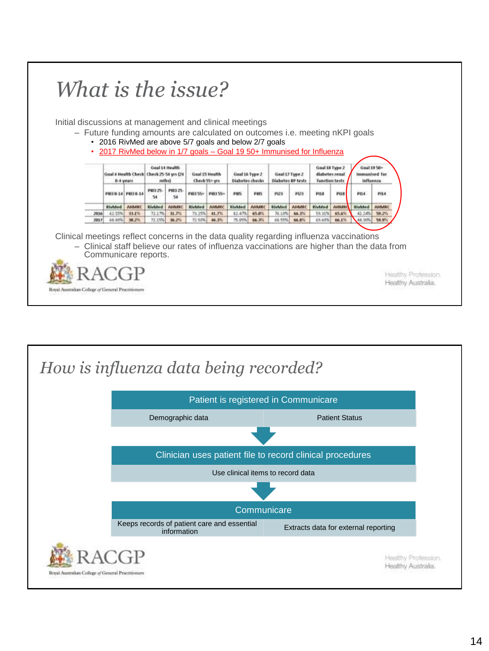![](_page_13_Picture_0.jpeg)

![](_page_13_Figure_1.jpeg)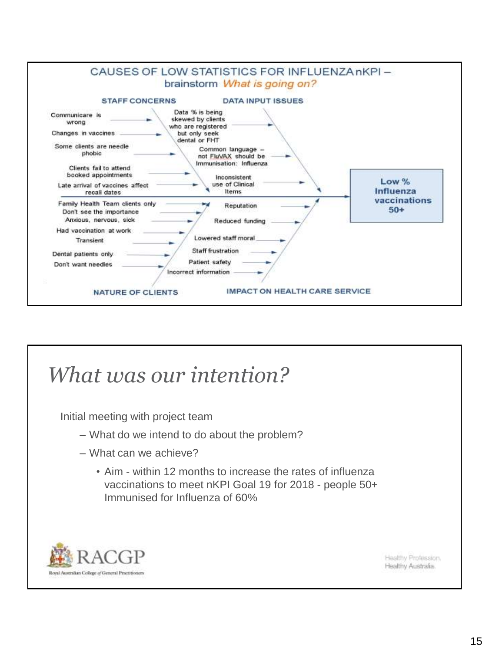![](_page_14_Figure_0.jpeg)

#### *What was our intention?*

Initial meeting with project team

- What do we intend to do about the problem?
- What can we achieve?
	- Aim within 12 months to increase the rates of influenza vaccinations to meet nKPI Goal 19 for 2018 - people 50+ Immunised for Influenza of 60%

![](_page_14_Picture_6.jpeg)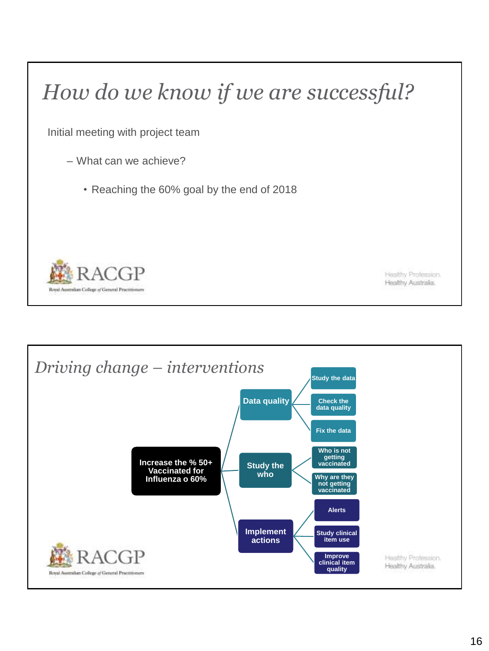### *How do we know if we are successful?*

Initial meeting with project team

- What can we achieve?
	- Reaching the 60% goal by the end of 2018

![](_page_15_Picture_4.jpeg)

![](_page_15_Figure_6.jpeg)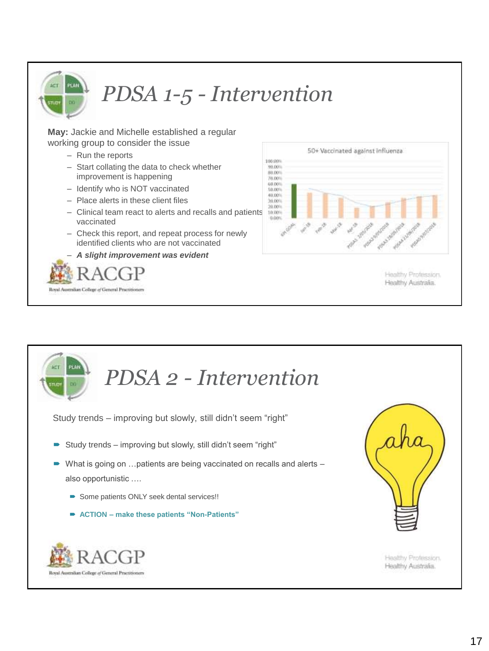![](_page_16_Picture_0.jpeg)

## *PDSA 1-5 - Intervention*

**May:** Jackie and Michelle established a regular working group to consider the issue

- Run the reports
- Start collating the data to check whether improvement is happening
- Identify who is NOT vaccinated
- Place alerts in these client files
- Clinical team react to alerts and recalls and patients vaccinated
- Check this report, and repeat process for newly identified clients who are not vaccinated
- *A slight improvement was evident*

![](_page_16_Picture_10.jpeg)

![](_page_16_Figure_11.jpeg)

Healthy Profession. Healthy Australia.

![](_page_16_Picture_13.jpeg)

Study trends – improving but slowly, still didn't seem "right"

- Study trends improving but slowly, still didn't seem "right"
- What is going on ... patients are being vaccinated on recalls and alerts also opportunistic ….
	- Some patients ONLY seek dental services!!
	- **ACTION – make these patients "Non-Patients"**

![](_page_16_Picture_19.jpeg)

![](_page_16_Picture_20.jpeg)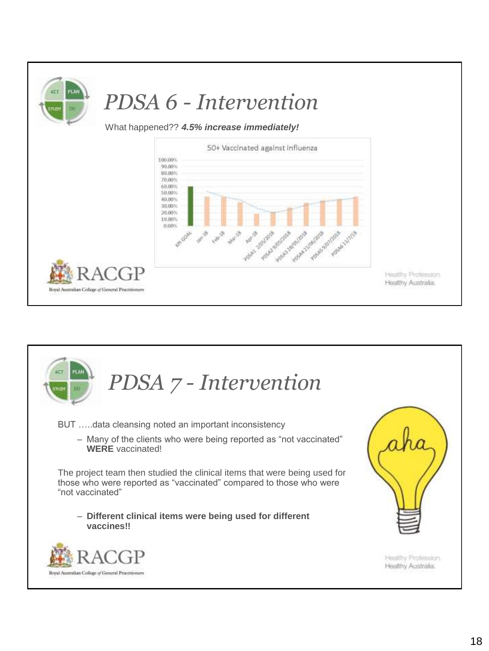![](_page_17_Figure_0.jpeg)

![](_page_17_Picture_1.jpeg)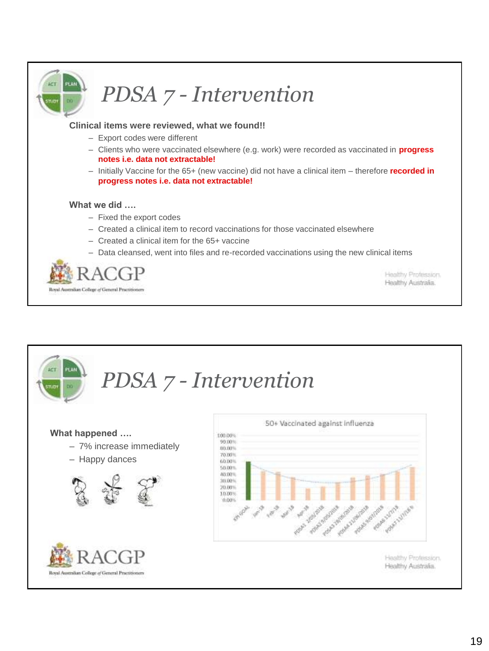![](_page_18_Picture_0.jpeg)

## *PDSA 7 - Intervention*

#### **Clinical items were reviewed, what we found!!**

- Export codes were different
- Clients who were vaccinated elsewhere (e.g. work) were recorded as vaccinated in **progress notes i.e. data not extractable!**
- Initially Vaccine for the 65+ (new vaccine) did not have a clinical item therefore **recorded in progress notes i.e. data not extractable!**

#### **What we did ….**

- Fixed the export codes
- Created a clinical item to record vaccinations for those vaccinated elsewhere
- Created a clinical item for the 65+ vaccine
- Data cleansed, went into files and re-recorded vaccinations using the new clinical items

![](_page_18_Picture_11.jpeg)

Healthy Profession. Healthy Australia.

#### *PDSA 7 - Intervention* 50+ Vaccinated against influenza **What happened ….** 100,00% 99.00% – 7% increase immediately 89.00% 70.00% – Happy dances60,00% 50,00% 80,00% 36,00% 20,00% 10.00% 10,00% American School A Mariana Republica Sunday School Foundations Superintendo **Park Mayo** TON BUSINESS Healthy Profession. Healthy Australia. Royal Australian College of General Practitionen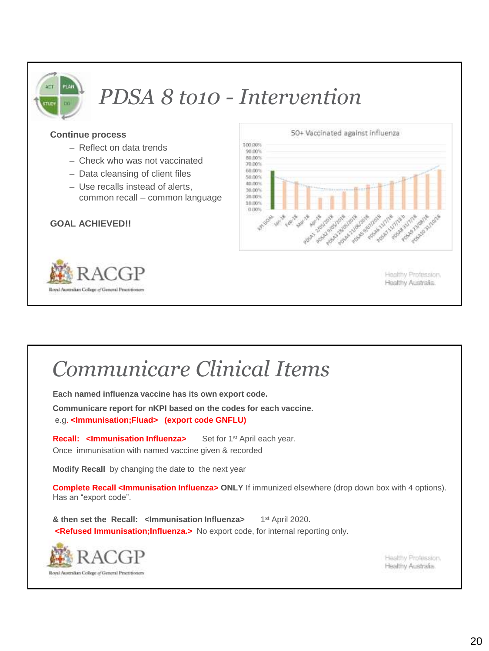![](_page_19_Picture_0.jpeg)

### *PDSA 8 to10 - Intervention*

#### **Continue process**

- Reflect on data trends
- Check who was not vaccinated
- Data cleansing of client files
- Use recalls instead of alerts, common recall – common language

#### **GOAL ACHIEVED!!**

![](_page_19_Picture_8.jpeg)

![](_page_19_Figure_9.jpeg)

Healthy Profession. Healthy Australia.

#### *Communicare Clinical Items*

**Each named influenza vaccine has its own export code.**

**Communicare report for nKPI based on the codes for each vaccine.** e.g. **<Immunisation;Fluad> (export code GNFLU)**

**Recall: <Immunisation Influenza>** Set for 1<sup>st</sup> April each year. Once immunisation with named vaccine given & recorded

**Modify Recall** by changing the date to the next year

**Complete Recall <Immunisation Influenza> ONLY** If immunized elsewhere (drop down box with 4 options). Has an "export code".

**& then set the Recall: <Immunisation Influenza>** 1 1st April 2020. **<Refused Immunisation;Influenza.>** No export code, for internal reporting only.

![](_page_19_Picture_18.jpeg)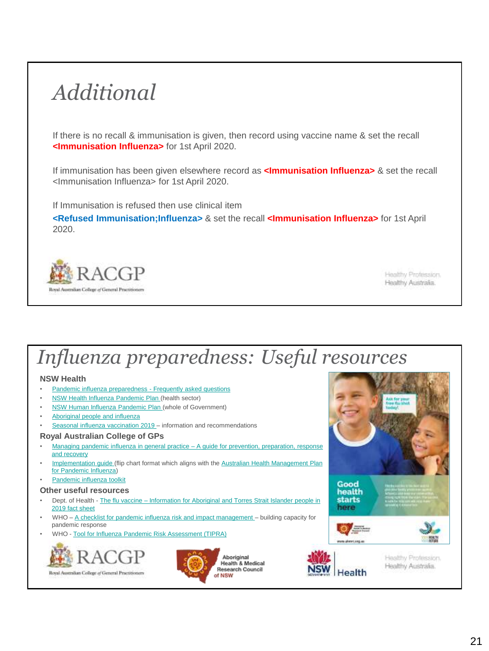### *Additional*

If there is no recall & immunisation is given, then record using vaccine name & set the recall **<Immunisation Influenza>** for 1st April 2020.

If immunisation has been given elsewhere record as **<Immunisation Influenza>** & set the recall <Immunisation Influenza> for 1st April 2020.

If Immunisation is refused then use clinical item

**<Refused Immunisation;Influenza>** & set the recall **<Immunisation Influenza>** for 1st April 2020.

![](_page_20_Picture_5.jpeg)

Healthy Profession. Healthy Australia.

#### *Influenza preparedness: Useful resources*

#### **NSW Health**

- [Pandemic influenza preparedness -](https://www.health.nsw.gov.au/pandemic/Pages/questions_and_answers.aspx) Frequently asked questions
- [NSW Health Influenza Pandemic Plan](https://www1.health.nsw.gov.au/pds/ActivePDSDocuments/PD2016_016.pdf) (health sector)
- [NSW Human Influenza Pandemic Plan \(](https://www.emergency.nsw.gov.au/Documents/plans/sub-plans/SubPlan_Human-Influenza_Pandemic.pdf)whole of Government)
- [Aboriginal people and influenza](https://www.health.nsw.gov.au/Infectious/Influenza/Pages/aboriginal_people_and_influenza.aspx)
- [Seasonal influenza vaccination 2019 –](https://www.health.nsw.gov.au/immunisation/Pages/flu.aspx) information and recommendations

#### **Royal Australian College of GPs**

- Managing pandemic influenza in general practice A guide for prevention, preparation, response and recovery
- [Implementation guide](https://www.racgp.org.au/FSDEDEV/media/documents/Running%20a%20practice/Practice%20management/Implementation-guide.pdf) [\(flip chart format which aligns with the Australian Health Management Plan](https://www.health.gov.au/internet/main/publishing.nsf/Content/519F9392797E2DDCCA257D47001B9948/$File/AHMPPI.pdf) for Pandemic Influenza)
- [Pandemic influenza toolkit](https://www.racgp.org.au/FSDEDEV/media/documents/Running%20a%20practice/Practice%20management/pandemic-influenza-toolkit-(3).doc)

#### **Other useful resources**

- Dept. of Health The flu vaccine [Information for Aboriginal and Torres Strait Islander people in](https://beta.health.gov.au/resources/publications/the-flu-vaccine-information-for-aboriginal-and-torres-strait-islander-people-in-2019-fact-sheet)  2019 fact sheet
- WHO [A checklist for pandemic influenza risk and impact management –](https://apps.who.int/iris/bitstream/handle/10665/259884/9789241513623-eng.pdf;jsessionid=B41940BF5B3BDD3101167CDE2861B72F?sequence=1) building capacity for pandemic response
- WHO [Tool for Influenza Pandemic Risk Assessment \(TIPRA\)](https://www.who.int/influenza/areas_of_work/human_animal_interface/tipra/en/)

![](_page_20_Picture_22.jpeg)

![](_page_20_Picture_23.jpeg)

![](_page_20_Picture_24.jpeg)